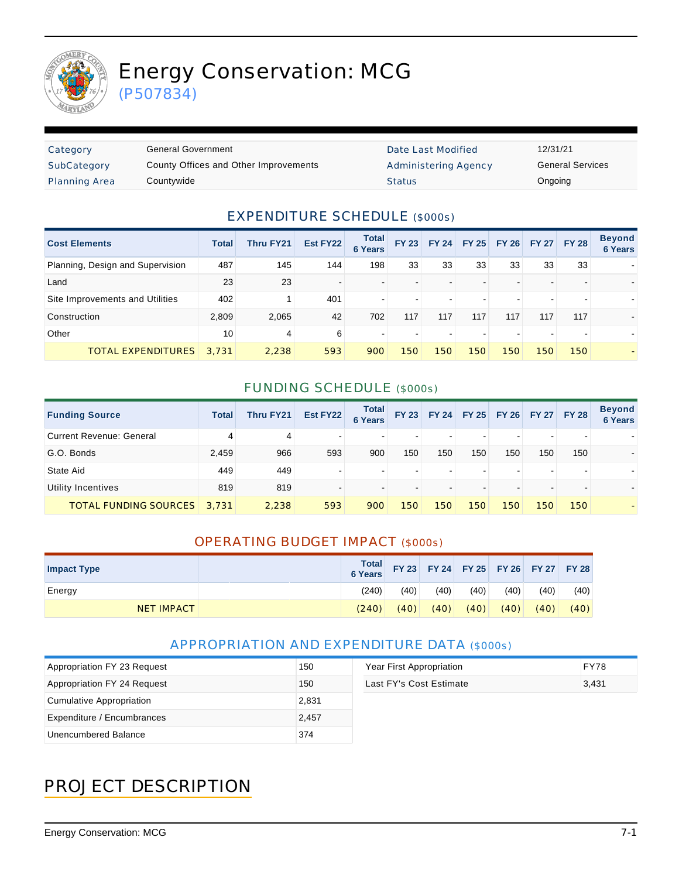

# Energy Conservation: MCG

(P507834)

| Category             | General Government                    | Date Last Modified          | 12/31/21 |
|----------------------|---------------------------------------|-----------------------------|----------|
| SubCategory          | County Offices and Other Improvements | <b>Administering Agency</b> | General  |
| <b>Planning Area</b> | Countywide                            | <b>Status</b>               | Ongoing  |

Date Last Modified 12/31/21 Administering Agency **General Services** 

#### EXPENDITURE SCHEDULE (\$000s)

| <b>Cost Elements</b>             | <b>Total</b> | Thru FY21 | Est FY22 | <b>Total</b><br><b>6 Years</b> | <b>FY 23</b> | <b>FY 24</b> | <b>FY 25</b> | <b>FY 26</b> |     | FY 27 FY 28 | <b>Beyond</b><br>6 Years |
|----------------------------------|--------------|-----------|----------|--------------------------------|--------------|--------------|--------------|--------------|-----|-------------|--------------------------|
| Planning, Design and Supervision | 487          | 145       | 144      | 198                            | 33           | 33           | 33           | 33           | 33  | 33          |                          |
| Land                             | 23           | 23        |          |                                |              |              |              |              |     |             |                          |
| Site Improvements and Utilities  | 402          |           | 401      | $\blacksquare$                 |              |              |              |              |     |             |                          |
| Construction                     | 2,809        | 2,065     | 42       | 702                            | 117          | 117          | 117          | 117          | 117 | 117         |                          |
| Other                            | 10           | 4         | 6        | $\blacksquare$                 |              |              |              |              |     |             |                          |
| <b>TOTAL EXPENDITURES</b>        | 3.731        | 2,238     | 593      | 900                            | 150          | 150          | 150          | 150          | 150 | 150         |                          |

#### FUNDING SCHEDULE (\$000s)

| <b>Funding Source</b>           | Total | <b>Thru FY21</b> | Est FY22 | <b>Total</b><br><b>6 Years</b> | <b>FY 23</b> | <b>FY 24</b> | <b>FY 25</b> | <b>FY 26</b> |     | FY 27 FY 28 | <b>Beyond</b><br><b>6 Years</b> |
|---------------------------------|-------|------------------|----------|--------------------------------|--------------|--------------|--------------|--------------|-----|-------------|---------------------------------|
| <b>Current Revenue: General</b> | 4     | 4                |          | $\overline{\phantom{0}}$       |              |              |              |              | -   |             |                                 |
| G.O. Bonds                      | 2,459 | 966              | 593      | 900                            | 150          | 150          | 150          | 150          | 150 | 150         |                                 |
| State Aid                       | 449   | 449              |          | $\overline{\phantom{0}}$       |              |              |              |              |     |             |                                 |
| Utility Incentives              | 819   | 819              |          |                                |              |              |              |              |     |             |                                 |
| <b>TOTAL FUNDING SOURCES</b>    | 3.731 | 2,238            | 593      | 900                            | 150          | 150          | 150          | 150          | 150 | 150         |                                 |

#### OPERATING BUDGET IMPACT (\$000s)

| <b>Impact Type</b> | Total<br><b>6 Years</b> |      |      |      |      | FY 23 FY 24 FY 25 FY 26 FY 27 FY 28 |      |
|--------------------|-------------------------|------|------|------|------|-------------------------------------|------|
| Energy             | (240)                   | (40) | (40) | (40) | (40) | (40)                                | (40) |
| <b>NET IMPACT</b>  | (240)                   | (40) | (40) | (40) | (40) | (40)                                | (40) |

#### APPROPRIATION AND EXPENDITURE DATA (\$000s)

| Appropriation FY 23 Request | 150   | Year First Appropriation | <b>FY78</b> |
|-----------------------------|-------|--------------------------|-------------|
| Appropriation FY 24 Request | 150   | Last FY's Cost Estimate  | 3,431       |
| Cumulative Appropriation    | 2,831 |                          |             |
| Expenditure / Encumbrances  | 2.457 |                          |             |
| Unencumbered Balance        | 374   |                          |             |

## PROJECT DESCRIPTION